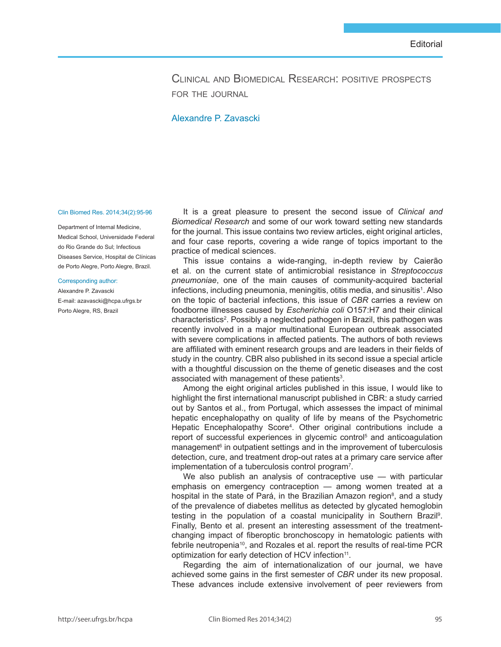Clinical and Biomedical Research: positive prospects for the journal

## Alexandre P. Zavascki

## Clin Biomed Res. 2014;34(2):95-96

Department of Internal Medicine, Medical School, Universidade Federal do Rio Grande do Sul; Infectious Diseases Service, Hospital de Clínicas de Porto Alegre, Porto Alegre, Brazil.

## Corresponding author:

Alexandre P. Zavascki E-mail: azavascki@hcpa.ufrgs.br Porto Alegre, RS, Brazil

It is a great pleasure to present the second issue of *Clinical and Biomedical Research* and some of our work toward setting new standards for the journal. This issue contains two review articles, eight original articles, and four case reports, covering a wide range of topics important to the practice of medical sciences.

This issue contains a wide-ranging, in-depth review by Caierão et al. on the current state of antimicrobial resistance in *Streptococcus pneumoniae*, one of the main causes of community-acquired bacterial infections, including pneumonia, meningitis, otitis media, and sinusitis<sup>1</sup>. Also on the topic of bacterial infections, this issue of *CBR* carries a review on foodborne illnesses caused by *Escherichia coli* O157:H7 and their clinical characteristics<sup>2</sup>. Possibly a neglected pathogen in Brazil, this pathogen was recently involved in a major multinational European outbreak associated with severe complications in affected patients. The authors of both reviews are affiliated with eminent research groups and are leaders in their fields of study in the country. CBR also published in its second issue a special article with a thoughtful discussion on the theme of genetic diseases and the cost associated with management of these patients<sup>3</sup>.

Among the eight original articles published in this issue, I would like to highlight the first international manuscript published in CBR: a study carried out by Santos et al., from Portugal, which assesses the impact of minimal hepatic encephalopathy on quality of life by means of the Psychometric Hepatic Encephalopathy Score<sup>4</sup>. Other original contributions include a report of successful experiences in glycemic control<sup>5</sup> and anticoagulation management<sup>6</sup> in outpatient settings and in the improvement of tuberculosis detection, cure, and treatment drop-out rates at a primary care service after implementation of a tuberculosis control program<sup>7</sup>.

We also publish an analysis of contraceptive use — with particular emphasis on emergency contraception — among women treated at a hospital in the state of Pará, in the Brazilian Amazon region<sup>8</sup>, and a study of the prevalence of diabetes mellitus as detected by glycated hemoglobin testing in the population of a coastal municipality in Southern Brazil<sup>9</sup>. Finally, Bento et al. present an interesting assessment of the treatmentchanging impact of fiberoptic bronchoscopy in hematologic patients with febrile neutropenia<sup>10</sup>, and Rozales et al. report the results of real-time PCR optimization for early detection of HCV infection<sup>11</sup>.

Regarding the aim of internationalization of our journal, we have achieved some gains in the first semester of *CBR* under its new proposal. These advances include extensive involvement of peer reviewers from